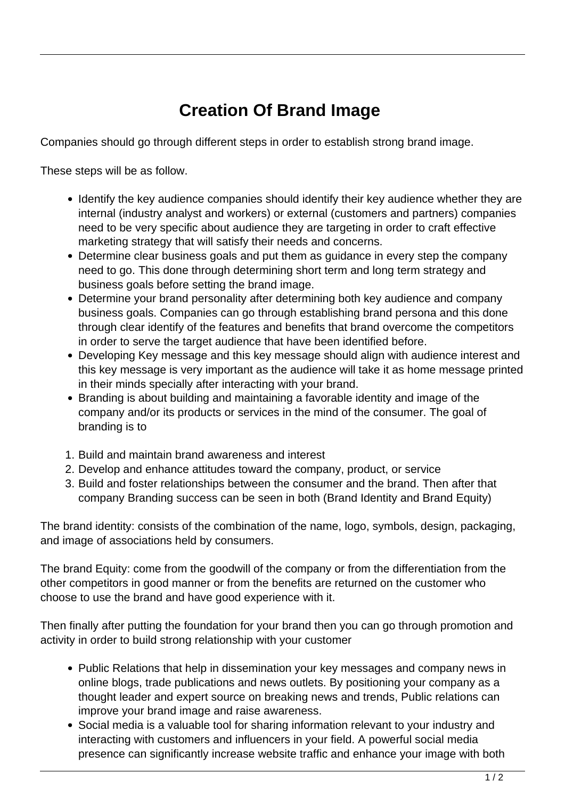## **Creation Of Brand Image**

Companies should go through different steps in order to establish strong brand image.

These steps will be as follow.

- Identify the key audience companies should identify their key audience whether they are internal (industry analyst and workers) or external (customers and partners) companies need to be very specific about audience they are targeting in order to craft effective marketing strategy that will satisfy their needs and concerns.
- Determine clear business goals and put them as guidance in every step the company need to go. This done through determining short term and long term strategy and business goals before setting the brand image.
- Determine your brand personality after determining both key audience and company business goals. Companies can go through establishing brand persona and this done through clear identify of the features and benefits that brand overcome the competitors in order to serve the target audience that have been identified before.
- Developing Key message and this key message should align with audience interest and this key message is very important as the audience will take it as home message printed in their minds specially after interacting with your brand.
- Branding is about building and maintaining a favorable identity and image of the company and/or its products or services in the mind of the consumer. The goal of branding is to
- 1. Build and maintain brand awareness and interest
- 2. Develop and enhance attitudes toward the company, product, or service
- 3. Build and foster relationships between the consumer and the brand. Then after that company Branding success can be seen in both (Brand Identity and Brand Equity)

The brand identity: consists of the combination of the name, logo, symbols, design, packaging, and image of associations held by consumers.

The brand Equity: come from the goodwill of the company or from the differentiation from the other competitors in good manner or from the benefits are returned on the customer who choose to use the brand and have good experience with it.

Then finally after putting the foundation for your brand then you can go through promotion and activity in order to build strong relationship with your customer

- Public Relations that help in dissemination your key messages and company news in online blogs, trade publications and news outlets. By positioning your company as a thought leader and expert source on breaking news and trends, Public relations can improve your brand image and raise awareness.
- Social media is a valuable tool for sharing information relevant to your industry and interacting with customers and influencers in your field. A powerful social media presence can significantly increase website traffic and enhance your image with both